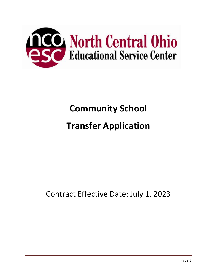

# **Community School**

# **Transfer Application**

## Contract Effective Date: July 1, 2023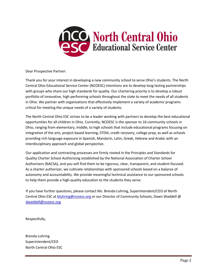

Dear Prospective Partner:

Thank you for your interest in developing a new community school to serve Ohio's students. The North Central Ohio Educational Service Center (NCOESC) intentions are to develop long-lasting partnerships with groups who share our high standards for quality. Our chartering priority is to develop a robust portfolio of innovative, high performing schools throughout the state to meet the needs of all students in Ohio. We partner with organizations that effectively implement a variety of academic programs critical for meeting the unique needs of a variety of students.

The North Central Ohio ESC strives to be a leader working with partners to develop the best educational opportunities for all children in Ohio. Currently, NCOESC is the sponsor to 16 community schools in Ohio, ranging from elementary, middle, to high schools that include educational programs focusing on integration of the arts, project-based learning, STEM, credit recovery, college prep, as well as schools providing rich language exposure in Spanish, Mandarin, Latin, Greek, Hebrew and Arabic with an interdisciplinary approach and global perspective.

Our application and contracting processes are firmly rooted in the Principles and Standards for Quality Charter School Authorizing established by the National Association of Charter School Authorizers (NACSA), and you will find them to be rigorous, clear, transparent, and student-focused. As a charter authorizer, we cultivate relationships with sponsored schools based on a balance of autonomy and accountability. We provide meaningful technical assistance to our sponsored schools to help them provide a high-quality education to the students they serve.

If you have further questions, please contact Ms. Brenda Luhring, Superintendent/CEO of North Central Ohio ESC at **bluhring@ncoesc.org** or our Director of Community Schools, Dawn Waddell @ [dwaddell@ncoesc.org](mailto:dwaddell@ncoesc.org)

Respectfully,

Brenda Luhring Superintendent/CEO North Central Ohio ESC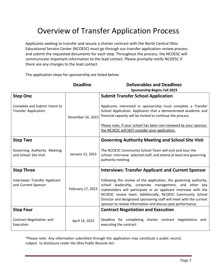## Overview of Transfer Application Process

Applicants seeking to transfer and secure a charter contract with the North Central Ohio Educational Service Center (NCOESC) must go through our transfer application review process and submit the requested documents for each step. Throughout the process, the NCOESC will communicate important information to the lead contact. Please promptly notify NCOESC if there are any changes to the lead contact.

The application steps for sponsorship are listed below:

|                                                              | <b>Deadline</b>   | <b>Deliverables and Deadlines</b><br><b>Sponsorship Begins Fall 2023</b>                                                                                                                                                                                                                                                                                                                           |
|--------------------------------------------------------------|-------------------|----------------------------------------------------------------------------------------------------------------------------------------------------------------------------------------------------------------------------------------------------------------------------------------------------------------------------------------------------------------------------------------------------|
| <b>Step One</b>                                              |                   | <b>Submit Transfer School Application</b>                                                                                                                                                                                                                                                                                                                                                          |
| Complete and Submit Intent to<br><b>Transfer Application</b> | December 16, 2022 | Applicants interested in sponsorship must complete a Transfer<br>School Application. Applicants that a demonstrated academic and<br>financial capacity will be invited to continue the process.                                                                                                                                                                                                    |
|                                                              |                   | Please note, if your school has been non-renewed by your sponsor,<br>the NCOESC will NOT consider your application.                                                                                                                                                                                                                                                                                |
| <b>Step Two</b>                                              |                   | <b>Governing Authority Meeting and School Site Visit</b>                                                                                                                                                                                                                                                                                                                                           |
| Governing Authority Meeting<br>and School Site Visit         | January 13, 2023  | The NCOESC Community School Team will visit and tour the<br>school, interview selected staff, and attend at least one governing<br>authority meeting.                                                                                                                                                                                                                                              |
| <b>Step Three</b>                                            |                   | <b>Interviews: Transfer Applicant and Current Sponsor</b>                                                                                                                                                                                                                                                                                                                                          |
| Interviews: Transfer Applicant<br>and Current Sponsor        | February 17, 2023 | Following the review of the application, the governing authority,<br>school leadership, corporate management, and other key<br>stakeholders will participate in an applicant interview with the<br>NCOESC review team. Additionally, NCOESC Community School<br>Director and designated sponsoring staff will meet with the current<br>sponsor to review information and discuss past performance. |
| <b>Step Four</b>                                             |                   | <b>Contract Negotiation and Execution</b>                                                                                                                                                                                                                                                                                                                                                          |
| Contract Negotiation and<br>Execution                        | April 14, 2023    | Deadline for completing charter contract negotiations and<br>executing the contract.                                                                                                                                                                                                                                                                                                               |

\*Please note: Any information submitted through the application may constitute a public record, subject to disclosure under the Ohio Public Records Act.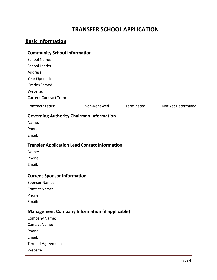## **TRANSFER SCHOOL APPLICATION**

## **Basic Information**

Website:

#### **Community School Information**

| Community School Information                          |             |            |                    |
|-------------------------------------------------------|-------------|------------|--------------------|
| <b>School Name:</b>                                   |             |            |                    |
| School Leader:                                        |             |            |                    |
| Address:                                              |             |            |                    |
| Year Opened:                                          |             |            |                    |
| Grades Served:                                        |             |            |                    |
| Website:                                              |             |            |                    |
| <b>Current Contract Term:</b>                         |             |            |                    |
| <b>Contract Status:</b>                               | Non-Renewed | Terminated | Not Yet Determined |
| <b>Governing Authority Chairman Information</b>       |             |            |                    |
| Name:                                                 |             |            |                    |
| Phone:                                                |             |            |                    |
| Email:                                                |             |            |                    |
| <b>Transfer Application Lead Contact Information</b>  |             |            |                    |
| Name:                                                 |             |            |                    |
| Phone:                                                |             |            |                    |
| Email:                                                |             |            |                    |
| <b>Current Sponsor Information</b>                    |             |            |                    |
| Sponsor Name:                                         |             |            |                    |
| <b>Contact Name:</b>                                  |             |            |                    |
| Phone:                                                |             |            |                    |
| Email:                                                |             |            |                    |
| <b>Management Company Information (if applicable)</b> |             |            |                    |
| Company Name:                                         |             |            |                    |
| <b>Contact Name:</b>                                  |             |            |                    |
| Phone:                                                |             |            |                    |
| Email:                                                |             |            |                    |
| Term of Agreement:                                    |             |            |                    |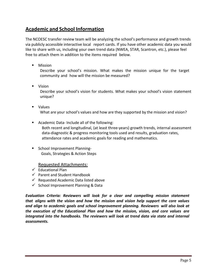### **Academic and School Information**

The NCOESC transfer review team will be analyzing the school's performance and growth trends via publicly accessible interactive local report cards. If you have other academic data you would like to share with us, including your own trend data (NWEA, STAR, Scantron, etc.), please feel free to attach them in addition to the items required below.

**Nission** 

Describe your school's mission. What makes the mission unique for the target community and how will the mission be measured?

**Vision** 

Describe your school's vision for students. What makes your school's vision statement unique?

- Values What are your school's values and how are they supported by the mission and vision?
- **Academic Data-Include all of the following:** Both recent and longitudinal, (at least three-years) growth trends, internal assessment data-diagnostic & progress monitoring tools used and results, graduation rates, attendance rates and academic goals for reading and mathematics.
- **School Improvement Planning-**Goals, Strategies & Action Steps

#### Requested Attachments:

- $\checkmark$  Educational Plan
- $\checkmark$  Parent and Student Handbook
- $\checkmark$  Requested Academic Data listed above
- $\checkmark$  School Improvement Planning & Data

*Evaluation Criteria: Reviewers will look for a clear and compelling mission statement that aligns with the vision and how the mission and vision help support the core values and align to academic goals and school improvement planning. Reviewers will also look at the execution of the Educational Plan and how the mission, vision, and core values are integrated into the handbooks. The reviewers will look at trend data via state and internal assessments.*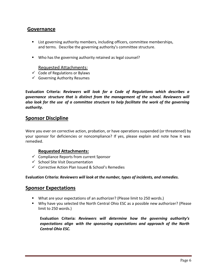### **Governance**

- List governing authority members, including officers, committee memberships, and terms. Describe the governing authority's committee structure.
- Who has the governing authority retained as legal counsel?

#### Requested Attachments:

- $\checkmark$  Code of Regulations or Bylaws
- $\checkmark$  Governing Authority Resumes

**Evaluation Criteria:** *Reviewers will look for a Code of Regulations which describes a governance structure that is distinct from the management of the school. Reviewers will also look for the use of a committee structure to help facilitate the work of the governing authority.*

#### **Sponsor Discipline**

Were you ever on corrective action, probation, or have operations suspended (or threatened) by your sponsor for deficiencies or noncompliance? If yes, please explain and note how it was remedied.

#### **Requested Attachments:**

- $\checkmark$  Compliance Reports from current Sponsor
- $\checkmark$  School Site Visit Documentation
- $\checkmark$  Corrective Action Plan Issued & School's Remedies

#### **Evaluation Criteria:** *Reviewers will look at the number, types of incidents, and remedies.*

#### **Sponsor Expectations**

- What are your expectations of an authorizer? (Please limit to 250 words.)
- Why have you selected the North Central Ohio ESC as a possible new authorizer? (Please limit to 250 words.)

**Evaluation Criteria:** *Reviewers will determine how the governing authority's expectations align with the sponsoring expectations and approach of the North Central Ohio ESC.*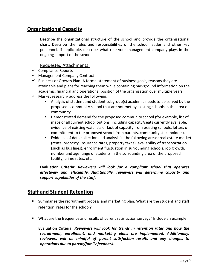### **OrganizationalCapacity**

Describe the organizational structure of the school and provide the organizational chart. Describe the roles and responsibilities of the school leader and other key personnel. If applicable, describe what role your management company plays in the ongoing support of the school.

#### Requested Attachments:

- $\checkmark$  Compliance Reports
- $\checkmark$  Management Company Contract
- $\checkmark$  Business or Growth Plan- A formal statement of business goals, reasons they are attainable and plans for reaching them while containing background information on the academic, financial and operational position of the organization over multiple years.
- $\checkmark$  Market research- address the following:
	- Analysis of student and student subgroup(s) academic needs to be served by the proposed community school that are not met by existing schools in the area or community.
	- Demonstrated demand for the proposed community school (for example, list of maps of all current school options, including capacity/seats currently available, evidence of existing wait lists or lack of capacity from existing schools, letters of commitment to the proposed school from parents, community stakeholders).
	- **Exidence of data collection and analysis in the following areas: real estate market** (rental property, insurance rates, property taxes), availability of transportation (such as bus lines), enrollment fluctuation in surrounding schools, job growth, number and age range of students in the surrounding area of the proposed facility, crime rates, etc.

**Evaluation Criteria:** *Reviewers will look for a compliant school that operates effectively and efficiently. Additionally, reviewers will determine capacity and support capabilities of the staff.*

### **Staff and Student Retention**

- Summarize the recruitment process and marketing plan. What are the student and staff retention rates for the school?
- What are the frequency and results of parent satisfaction surveys? Include an example.

 **Evaluation Criteria:** *Reviewers will look for trends in retention rates and how the recruitment, enrollment, and marketing plans are implemented. Additionally, reviewers will be mindful of parent satisfaction results and any changes to operations due to parent/family feedback.*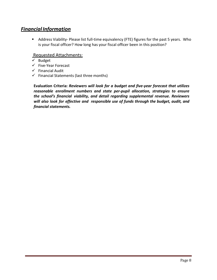## *Financial Information*

 Address Viability- Please list full-time equivalency (FTE) figures for the past 5 years. Who is your fiscal officer? How long has your fiscal officer been in this position?

#### Requested Attachments:

- $\checkmark$  Budget
- $\checkmark$  Five-Year Forecast
- $\checkmark$  Financial Audit
- $\checkmark$  Financial Statements (last three months)

**Evaluation Criteria:** *Reviewers will look for a budget and five-year forecast that utilizes reasonable enrollment numbers and state per-pupil allocation, strategies to ensure the school's financial viability, and detail regarding supplemental revenue. Reviewers will also look for effective and responsible use of funds through the budget, audit, and financial statements.*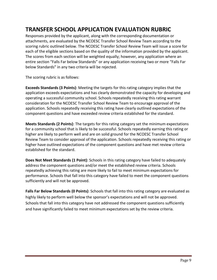## **TRANSFER SCHOOL APPLICATION EVALUATION RUBRIC**

Responses provided by the applicant, along with the corresponding documentation or attachments, are evaluated by the NCOESC Transfer School Review Team according to the scoring rubric outlined below. The NCOESC Transfer School Review Team will issue a score for each of the eligible sections based on the quality of the information provided by the applicant. The scores from each section will be weighted equally; however, any application where an entire section "Falls Far below Standards" or any application receiving two or more "Falls Far below Standards" in any two criteria will be rejected.

The scoring rubric is as follows:

**Exceeds Standards (3 Points)**: Meeting the targets for this rating category implies that the application exceeds expectations and has clearly demonstrated the capacity for developing and operating a successful community school. Schools repeatedly receiving this rating warrant consideration for the NCOESC Transfer School Review Team to encourage approval of the application. Schools repeatedly receiving this rating have clearly outlined expectations of the component questions and have exceeded review criteria established for the standard.

**Meets Standards (2 Points)**: The targets for this rating category set the minimum expectations for a community school that is likely to be successful. Schools repeatedly earning this rating or higher are likely to perform well and are on solid ground for the NCOESC Transfer School Review Team to consider approval of the application. Schools repeatedly receiving this rating or higher have outlined expectations of the component questions and have met review criteria established for the standard.

**Does Not Meet Standards (1 Point)**: Schools in this rating category have failed to adequately address the component questions and/or meet the established review criteria. Schools repeatedly achieving this rating are more likely to fail to meet minimum expectations for performance. Schools that fall into this category have failed to meet the component questions sufficiently and will not be approved.

**Falls Far Below Standards (0 Points)**: Schools that fall into this rating category are evaluated as highly likely to perform well below the sponsor's expectations and will not be approved. Schools that fall into this category have not addressed the component questions sufficiently and have significantly failed to meet minimum expectations set by the review criteria.